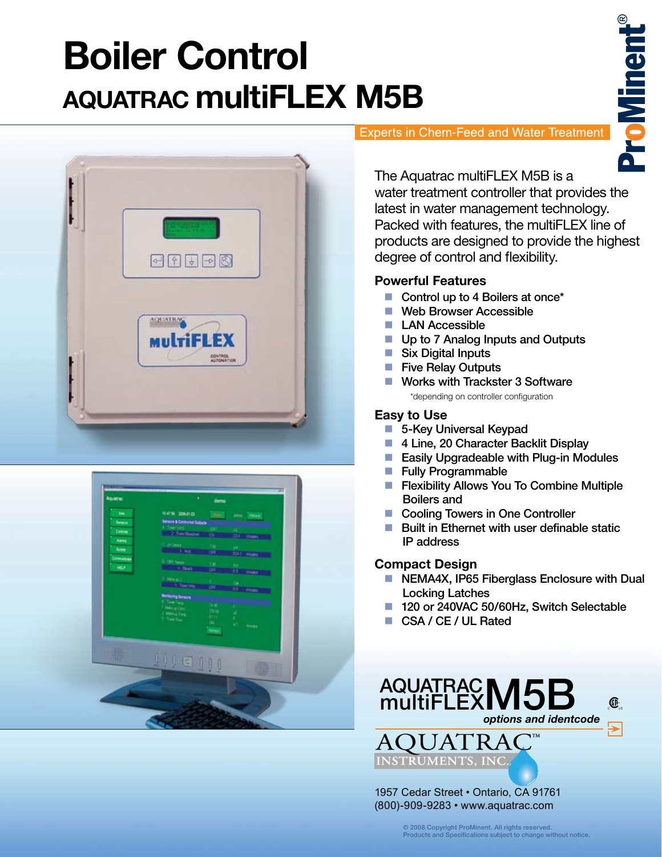# **Boiler Control AQUATRAC multiFLEX M5B**





### **Experts in Chem-Feed and Water Treatment**

**ProMinen** 

The Aquatrac multiFLEX M5B is a water treatment controller that provides the latest in water management technology. Packed with features, the multiFLEX line of products are designed to provide the highest degree of control and flexibility.

## **Powerful Features**

- Control up to 4 Boilers at once<sup>\*</sup>
- Web Browser Accessible
- **LAN Accessible**
- Up to 7 Analog Inputs and Outputs
- Six Digital Inputs
- **Five Relay Outputs**
- **Works with Trackster 3 Software** \*depending on controller configuration

# **Easy to Use**

- 5-Key Universal Keypad
- 4 Line, 20 Character Backlit Display
- **Easily Upgradeable with Plug-in Modules**
- Fully Programmable
- **Filexibility Allows You To Combine Multiple** Boilers and
- Cooling Towers in One Controller
- $\blacksquare$  Built in Ethernet with user definable static IP address

## **Compact Design**

- NEMA4X, IP65 Fiberglass Enclosure with Dual Locking Latches
- 120 or 240VAC 50/60Hz, Switch Selectable
- CSA / CE / UL Rated



© 2008 Copyright ProMinent. All rights reserved. Products and Specifications subject to change without notice.

(800)-909-9283 • www.aquatrac.com